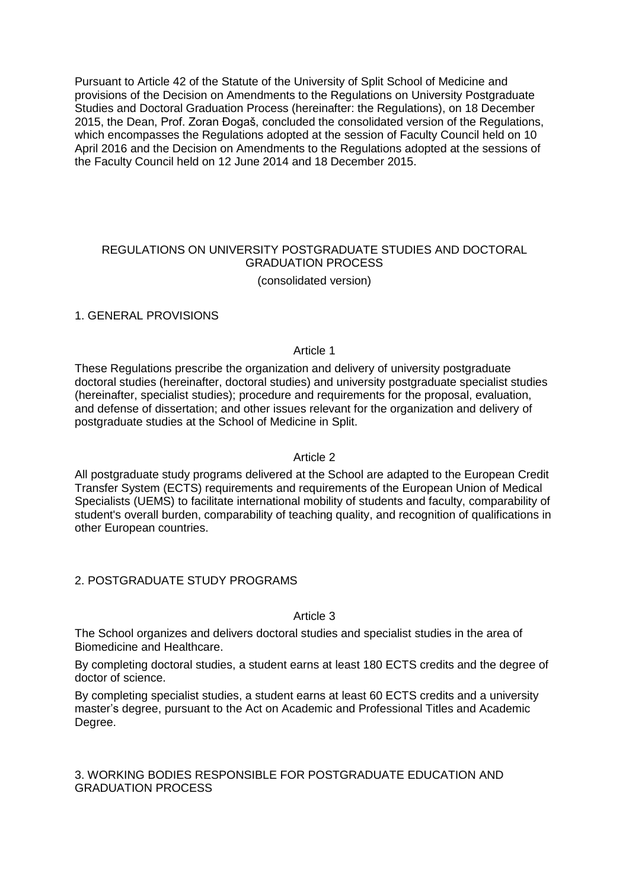Pursuant to Article 42 of the Statute of the University of Split School of Medicine and provisions of the Decision on Amendments to the Regulations on University Postgraduate Studies and Doctoral Graduation Process (hereinafter: the Regulations), on 18 December 2015, the Dean, Prof. Zoran Đogaš, concluded the consolidated version of the Regulations, which encompasses the Regulations adopted at the session of Faculty Council held on 10 April 2016 and the Decision on Amendments to the Regulations adopted at the sessions of the Faculty Council held on 12 June 2014 and 18 December 2015.

# REGULATIONS ON UNIVERSITY POSTGRADUATE STUDIES AND DOCTORAL GRADUATION PROCESS

(consolidated version)

#### 1. GENERAL PROVISIONS

#### Article 1

These Regulations prescribe the organization and delivery of university postgraduate doctoral studies (hereinafter, doctoral studies) and university postgraduate specialist studies (hereinafter, specialist studies); procedure and requirements for the proposal, evaluation, and defense of dissertation; and other issues relevant for the organization and delivery of postgraduate studies at the School of Medicine in Split.

# Article 2

All postgraduate study programs delivered at the School are adapted to the European Credit Transfer System (ECTS) requirements and requirements of the European Union of Medical Specialists (UEMS) to facilitate international mobility of students and faculty, comparability of student's overall burden, comparability of teaching quality, and recognition of qualifications in other European countries.

# 2. POSTGRADUATE STUDY PROGRAMS

#### Article 3

The School organizes and delivers doctoral studies and specialist studies in the area of Biomedicine and Healthcare.

By completing doctoral studies, a student earns at least 180 ECTS credits and the degree of doctor of science.

By completing specialist studies, a student earns at least 60 ECTS credits and a university master's degree, pursuant to the Act on Academic and Professional Titles and Academic Degree.

# 3. WORKING BODIES RESPONSIBLE FOR POSTGRADUATE EDUCATION AND GRADUATION PROCESS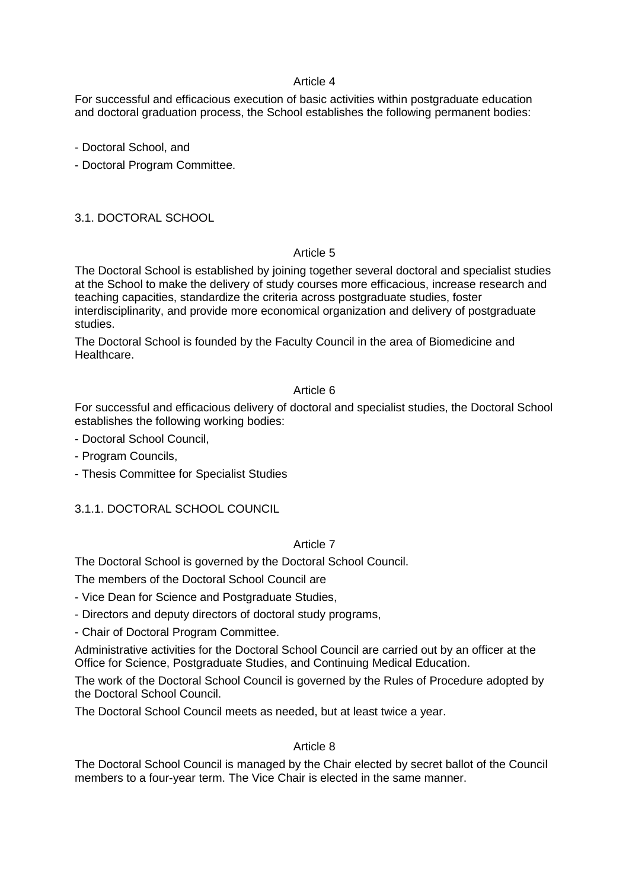For successful and efficacious execution of basic activities within postgraduate education and doctoral graduation process, the School establishes the following permanent bodies:

- Doctoral School, and

- Doctoral Program Committee.

3.1. DOCTORAL SCHOOL

# Article 5

The Doctoral School is established by joining together several doctoral and specialist studies at the School to make the delivery of study courses more efficacious, increase research and teaching capacities, standardize the criteria across postgraduate studies, foster interdisciplinarity, and provide more economical organization and delivery of postgraduate studies.

The Doctoral School is founded by the Faculty Council in the area of Biomedicine and Healthcare.

# Article 6

For successful and efficacious delivery of doctoral and specialist studies, the Doctoral School establishes the following working bodies:

- Doctoral School Council,
- Program Councils,
- Thesis Committee for Specialist Studies

# 3.1.1. DOCTORAL SCHOOL COUNCIL

# Article 7

The Doctoral School is governed by the Doctoral School Council.

The members of the Doctoral School Council are

- Vice Dean for Science and Postgraduate Studies,

- Directors and deputy directors of doctoral study programs,

- Chair of Doctoral Program Committee.

Administrative activities for the Doctoral School Council are carried out by an officer at the Office for Science, Postgraduate Studies, and Continuing Medical Education.

The work of the Doctoral School Council is governed by the Rules of Procedure adopted by the Doctoral School Council.

The Doctoral School Council meets as needed, but at least twice a year.

# Article 8

The Doctoral School Council is managed by the Chair elected by secret ballot of the Council members to a four-year term. The Vice Chair is elected in the same manner.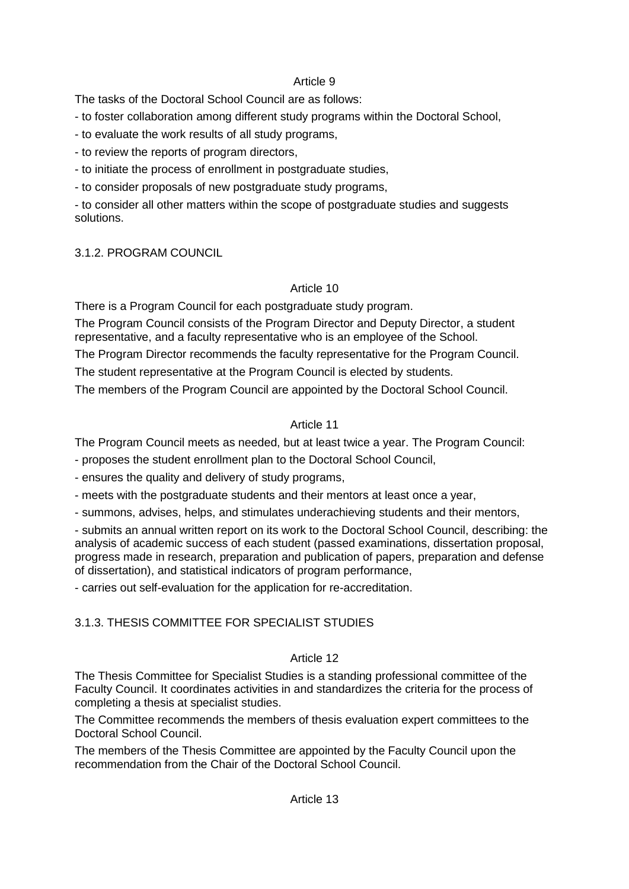The tasks of the Doctoral School Council are as follows:

- to foster collaboration among different study programs within the Doctoral School,
- to evaluate the work results of all study programs,
- to review the reports of program directors,
- to initiate the process of enrollment in postgraduate studies,
- to consider proposals of new postgraduate study programs,

- to consider all other matters within the scope of postgraduate studies and suggests solutions.

# 3.1.2. PROGRAM COUNCIL

# Article 10

There is a Program Council for each postgraduate study program.

The Program Council consists of the Program Director and Deputy Director, a student representative, and a faculty representative who is an employee of the School.

The Program Director recommends the faculty representative for the Program Council.

The student representative at the Program Council is elected by students.

The members of the Program Council are appointed by the Doctoral School Council.

# Article 11

The Program Council meets as needed, but at least twice a year. The Program Council:

- proposes the student enrollment plan to the Doctoral School Council,

- ensures the quality and delivery of study programs,

- meets with the postgraduate students and their mentors at least once a year,

- summons, advises, helps, and stimulates underachieving students and their mentors,

- submits an annual written report on its work to the Doctoral School Council, describing: the analysis of academic success of each student (passed examinations, dissertation proposal, progress made in research, preparation and publication of papers, preparation and defense of dissertation), and statistical indicators of program performance,

- carries out self-evaluation for the application for re-accreditation.

# 3.1.3. THESIS COMMITTEE FOR SPECIALIST STUDIES

# Article 12

The Thesis Committee for Specialist Studies is a standing professional committee of the Faculty Council. It coordinates activities in and standardizes the criteria for the process of completing a thesis at specialist studies.

The Committee recommends the members of thesis evaluation expert committees to the Doctoral School Council.

The members of the Thesis Committee are appointed by the Faculty Council upon the recommendation from the Chair of the Doctoral School Council.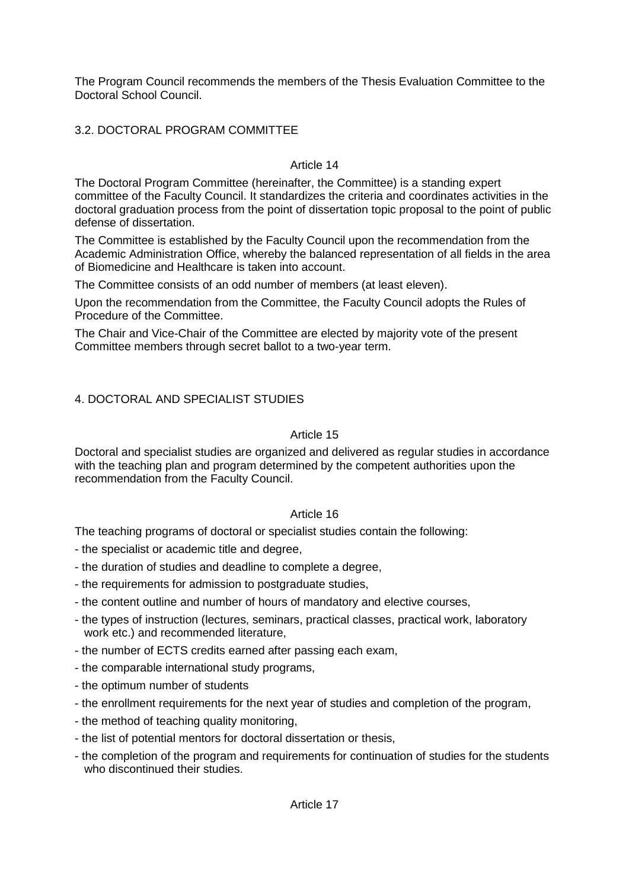The Program Council recommends the members of the Thesis Evaluation Committee to the Doctoral School Council.

# 3.2. DOCTORAL PROGRAM COMMITTEE

# Article 14

The Doctoral Program Committee (hereinafter, the Committee) is a standing expert committee of the Faculty Council. It standardizes the criteria and coordinates activities in the doctoral graduation process from the point of dissertation topic proposal to the point of public defense of dissertation.

The Committee is established by the Faculty Council upon the recommendation from the Academic Administration Office, whereby the balanced representation of all fields in the area of Biomedicine and Healthcare is taken into account.

The Committee consists of an odd number of members (at least eleven).

Upon the recommendation from the Committee, the Faculty Council adopts the Rules of Procedure of the Committee.

The Chair and Vice-Chair of the Committee are elected by majority vote of the present Committee members through secret ballot to a two-year term.

# 4. DOCTORAL AND SPECIALIST STUDIES

# Article 15

Doctoral and specialist studies are organized and delivered as regular studies in accordance with the teaching plan and program determined by the competent authorities upon the recommendation from the Faculty Council.

# Article 16

The teaching programs of doctoral or specialist studies contain the following:

- the specialist or academic title and degree,
- the duration of studies and deadline to complete a degree,
- the requirements for admission to postgraduate studies,
- the content outline and number of hours of mandatory and elective courses,
- the types of instruction (lectures, seminars, practical classes, practical work, laboratory work etc.) and recommended literature,
- the number of ECTS credits earned after passing each exam,
- the comparable international study programs,
- the optimum number of students
- the enrollment requirements for the next year of studies and completion of the program,
- the method of teaching quality monitoring,
- the list of potential mentors for doctoral dissertation or thesis,
- the completion of the program and requirements for continuation of studies for the students who discontinued their studies.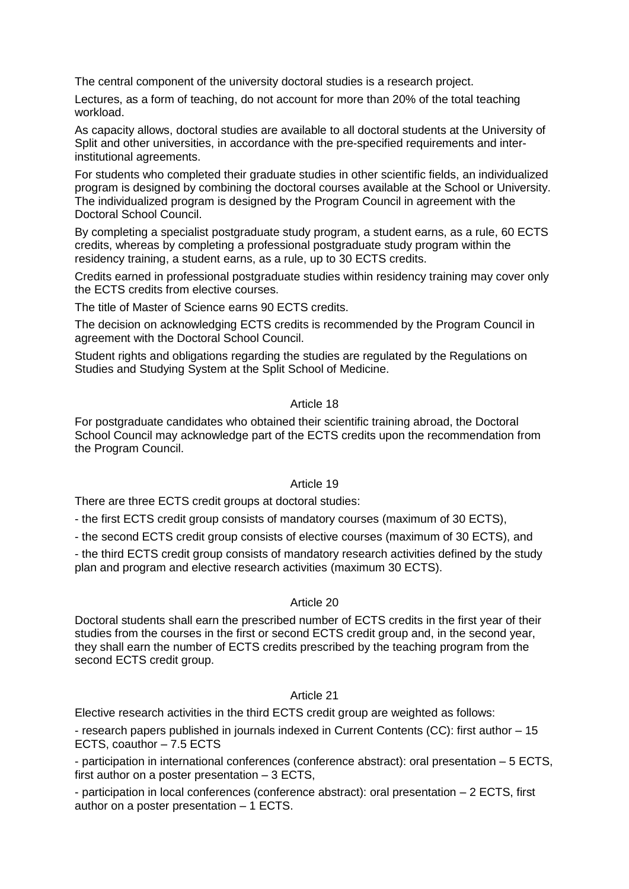The central component of the university doctoral studies is a research project.

Lectures, as a form of teaching, do not account for more than 20% of the total teaching workload.

As capacity allows, doctoral studies are available to all doctoral students at the University of Split and other universities, in accordance with the pre-specified requirements and interinstitutional agreements.

For students who completed their graduate studies in other scientific fields, an individualized program is designed by combining the doctoral courses available at the School or University. The individualized program is designed by the Program Council in agreement with the Doctoral School Council.

By completing a specialist postgraduate study program, a student earns, as a rule, 60 ECTS credits, whereas by completing a professional postgraduate study program within the residency training, a student earns, as a rule, up to 30 ECTS credits.

Credits earned in professional postgraduate studies within residency training may cover only the ECTS credits from elective courses.

The title of Master of Science earns 90 ECTS credits.

The decision on acknowledging ECTS credits is recommended by the Program Council in agreement with the Doctoral School Council.

Student rights and obligations regarding the studies are regulated by the Regulations on Studies and Studying System at the Split School of Medicine.

#### Article 18

For postgraduate candidates who obtained their scientific training abroad, the Doctoral School Council may acknowledge part of the ECTS credits upon the recommendation from the Program Council.

#### Article 19

There are three ECTS credit groups at doctoral studies:

- the first ECTS credit group consists of mandatory courses (maximum of 30 ECTS),

- the second ECTS credit group consists of elective courses (maximum of 30 ECTS), and

- the third ECTS credit group consists of mandatory research activities defined by the study plan and program and elective research activities (maximum 30 ECTS).

#### Article 20

Doctoral students shall earn the prescribed number of ECTS credits in the first year of their studies from the courses in the first or second ECTS credit group and, in the second year, they shall earn the number of ECTS credits prescribed by the teaching program from the second ECTS credit group.

# Article 21

Elective research activities in the third ECTS credit group are weighted as follows:

- research papers published in journals indexed in Current Contents (CC): first author – 15 ECTS, coauthor – 7.5 ECTS

- participation in international conferences (conference abstract): oral presentation – 5 ECTS, first author on a poster presentation – 3 ECTS,

- participation in local conferences (conference abstract): oral presentation – 2 ECTS, first author on a poster presentation – 1 ECTS.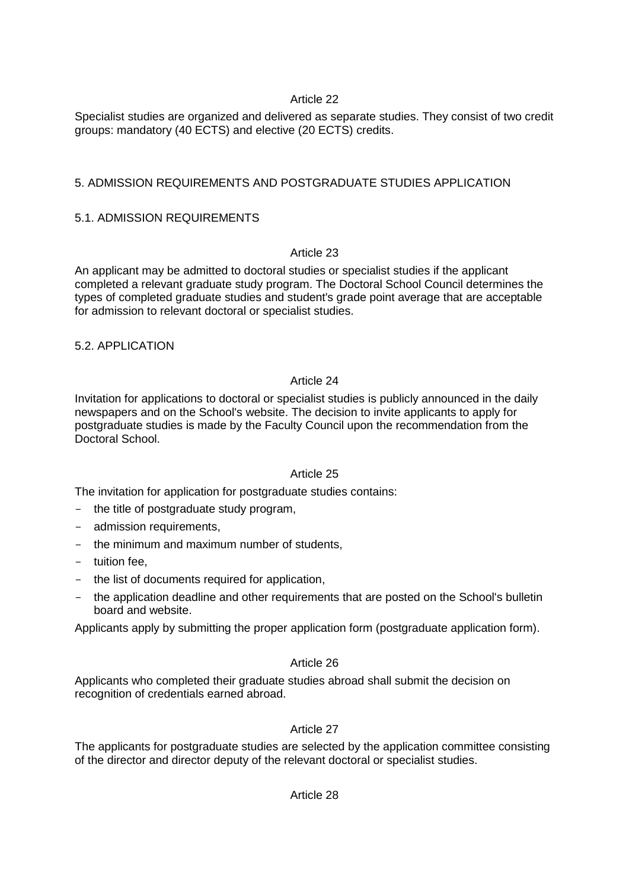Specialist studies are organized and delivered as separate studies. They consist of two credit groups: mandatory (40 ECTS) and elective (20 ECTS) credits.

# 5. ADMISSION REQUIREMENTS AND POSTGRADUATE STUDIES APPLICATION

# 5.1. ADMISSION REQUIREMENTS

# Article 23

An applicant may be admitted to doctoral studies or specialist studies if the applicant completed a relevant graduate study program. The Doctoral School Council determines the types of completed graduate studies and student's grade point average that are acceptable for admission to relevant doctoral or specialist studies.

# 5.2. APPLICATION

# Article 24

Invitation for applications to doctoral or specialist studies is publicly announced in the daily newspapers and on the School's website. The decision to invite applicants to apply for postgraduate studies is made by the Faculty Council upon the recommendation from the Doctoral School.

# Article 25

The invitation for application for postgraduate studies contains:

- the title of postgraduate study program,
- admission requirements.
- the minimum and maximum number of students,
- tuition fee,
- the list of documents required for application,
- the application deadline and other requirements that are posted on the School's bulletin board and website.

Applicants apply by submitting the proper application form (postgraduate application form).

# Article 26

Applicants who completed their graduate studies abroad shall submit the decision on recognition of credentials earned abroad.

# Article 27

The applicants for postgraduate studies are selected by the application committee consisting of the director and director deputy of the relevant doctoral or specialist studies.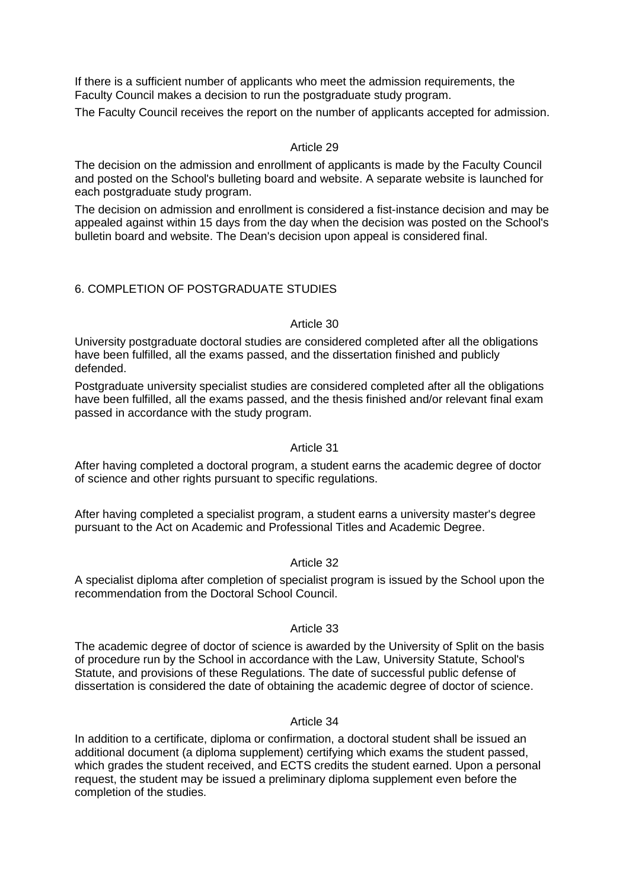If there is a sufficient number of applicants who meet the admission requirements, the Faculty Council makes a decision to run the postgraduate study program.

The Faculty Council receives the report on the number of applicants accepted for admission.

#### Article 29

The decision on the admission and enrollment of applicants is made by the Faculty Council and posted on the School's bulleting board and website. A separate website is launched for each postgraduate study program.

The decision on admission and enrollment is considered a fist-instance decision and may be appealed against within 15 days from the day when the decision was posted on the School's bulletin board and website. The Dean's decision upon appeal is considered final.

# 6. COMPLETION OF POSTGRADUATE STUDIES

#### Article 30

University postgraduate doctoral studies are considered completed after all the obligations have been fulfilled, all the exams passed, and the dissertation finished and publicly defended.

Postgraduate university specialist studies are considered completed after all the obligations have been fulfilled, all the exams passed, and the thesis finished and/or relevant final exam passed in accordance with the study program.

# Article 31

After having completed a doctoral program, a student earns the academic degree of doctor of science and other rights pursuant to specific regulations.

After having completed a specialist program, a student earns a university master's degree pursuant to the Act on Academic and Professional Titles and Academic Degree.

# Article 32

A specialist diploma after completion of specialist program is issued by the School upon the recommendation from the Doctoral School Council.

#### Article 33

The academic degree of doctor of science is awarded by the University of Split on the basis of procedure run by the School in accordance with the Law, University Statute, School's Statute, and provisions of these Regulations. The date of successful public defense of dissertation is considered the date of obtaining the academic degree of doctor of science.

#### Article 34

In addition to a certificate, diploma or confirmation, a doctoral student shall be issued an additional document (a diploma supplement) certifying which exams the student passed, which grades the student received, and ECTS credits the student earned. Upon a personal request, the student may be issued a preliminary diploma supplement even before the completion of the studies.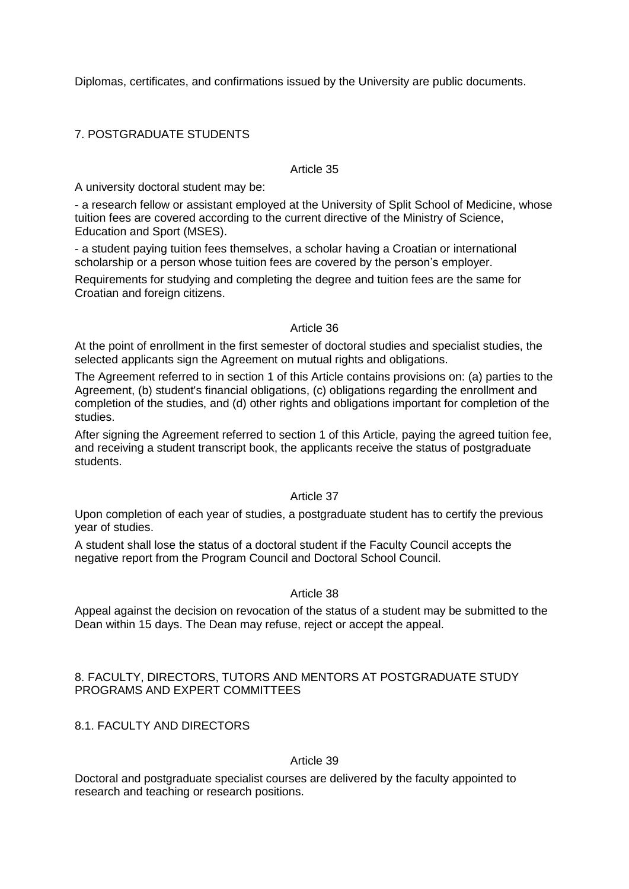Diplomas, certificates, and confirmations issued by the University are public documents.

# 7. POSTGRADUATE STUDENTS

#### Article 35

A university doctoral student may be:

- a research fellow or assistant employed at the University of Split School of Medicine, whose tuition fees are covered according to the current directive of the Ministry of Science, Education and Sport (MSES).

- a student paying tuition fees themselves, a scholar having a Croatian or international scholarship or a person whose tuition fees are covered by the person's employer.

Requirements for studying and completing the degree and tuition fees are the same for Croatian and foreign citizens.

#### Article 36

At the point of enrollment in the first semester of doctoral studies and specialist studies, the selected applicants sign the Agreement on mutual rights and obligations.

The Agreement referred to in section 1 of this Article contains provisions on: (a) parties to the Agreement, (b) student's financial obligations, (c) obligations regarding the enrollment and completion of the studies, and (d) other rights and obligations important for completion of the studies.

After signing the Agreement referred to section 1 of this Article, paying the agreed tuition fee, and receiving a student transcript book, the applicants receive the status of postgraduate students.

#### Article 37

Upon completion of each year of studies, a postgraduate student has to certify the previous year of studies.

A student shall lose the status of a doctoral student if the Faculty Council accepts the negative report from the Program Council and Doctoral School Council.

#### Article 38

Appeal against the decision on revocation of the status of a student may be submitted to the Dean within 15 days. The Dean may refuse, reject or accept the appeal.

### 8. FACULTY, DIRECTORS, TUTORS AND MENTORS AT POSTGRADUATE STUDY PROGRAMS AND EXPERT COMMITTEES

# 8.1. FACULTY AND DIRECTORS

#### Article 39

Doctoral and postgraduate specialist courses are delivered by the faculty appointed to research and teaching or research positions.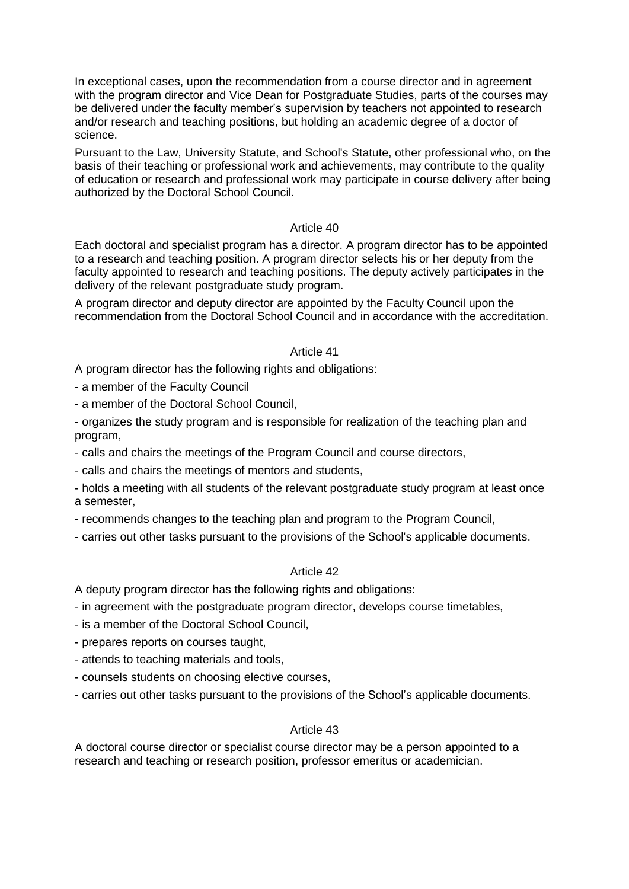In exceptional cases, upon the recommendation from a course director and in agreement with the program director and Vice Dean for Postgraduate Studies, parts of the courses may be delivered under the faculty member's supervision by teachers not appointed to research and/or research and teaching positions, but holding an academic degree of a doctor of science.

Pursuant to the Law, University Statute, and School's Statute, other professional who, on the basis of their teaching or professional work and achievements, may contribute to the quality of education or research and professional work may participate in course delivery after being authorized by the Doctoral School Council.

# Article 40

Each doctoral and specialist program has a director. A program director has to be appointed to a research and teaching position. A program director selects his or her deputy from the faculty appointed to research and teaching positions. The deputy actively participates in the delivery of the relevant postgraduate study program.

A program director and deputy director are appointed by the Faculty Council upon the recommendation from the Doctoral School Council and in accordance with the accreditation.

#### Article 41

A program director has the following rights and obligations:

- a member of the Faculty Council

- a member of the Doctoral School Council,

- organizes the study program and is responsible for realization of the teaching plan and program,

- calls and chairs the meetings of the Program Council and course directors,

- calls and chairs the meetings of mentors and students,

- holds a meeting with all students of the relevant postgraduate study program at least once a semester,

- recommends changes to the teaching plan and program to the Program Council,

- carries out other tasks pursuant to the provisions of the School's applicable documents.

# Article 42

A deputy program director has the following rights and obligations:

- in agreement with the postgraduate program director, develops course timetables,

- is a member of the Doctoral School Council,

- prepares reports on courses taught,

- attends to teaching materials and tools,

- counsels students on choosing elective courses,

- carries out other tasks pursuant to the provisions of the School's applicable documents.

#### Article 43

A doctoral course director or specialist course director may be a person appointed to a research and teaching or research position, professor emeritus or academician.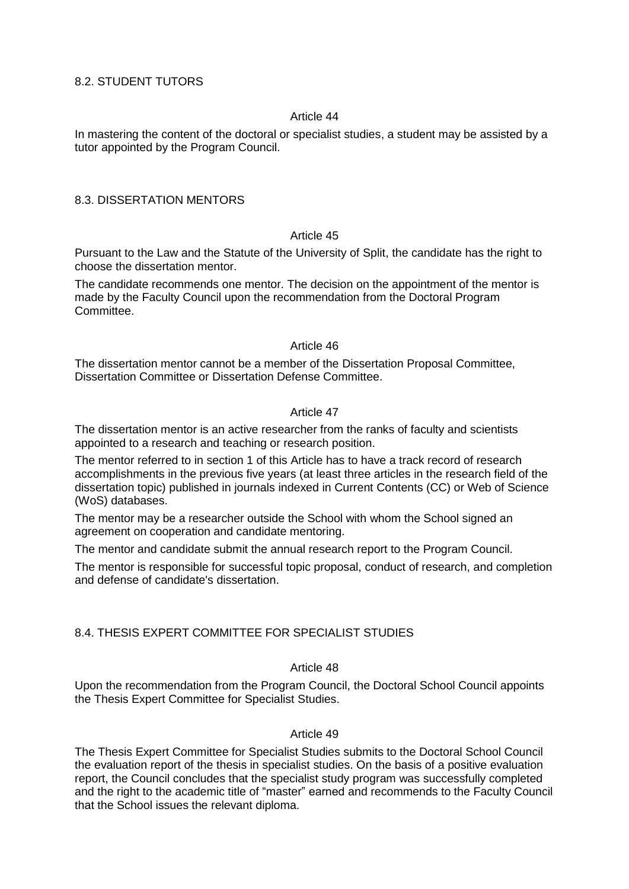# 8.2. STUDENT TUTORS

# Article 44

In mastering the content of the doctoral or specialist studies, a student may be assisted by a tutor appointed by the Program Council.

#### 8.3. DISSERTATION MENTORS

#### Article 45

Pursuant to the Law and the Statute of the University of Split, the candidate has the right to choose the dissertation mentor.

The candidate recommends one mentor. The decision on the appointment of the mentor is made by the Faculty Council upon the recommendation from the Doctoral Program Committee.

#### Article 46

The dissertation mentor cannot be a member of the Dissertation Proposal Committee, Dissertation Committee or Dissertation Defense Committee.

# Article 47

The dissertation mentor is an active researcher from the ranks of faculty and scientists appointed to a research and teaching or research position.

The mentor referred to in section 1 of this Article has to have a track record of research accomplishments in the previous five years (at least three articles in the research field of the dissertation topic) published in journals indexed in Current Contents (CC) or Web of Science (WoS) databases.

The mentor may be a researcher outside the School with whom the School signed an agreement on cooperation and candidate mentoring.

The mentor and candidate submit the annual research report to the Program Council.

The mentor is responsible for successful topic proposal, conduct of research, and completion and defense of candidate's dissertation.

# 8.4. THESIS EXPERT COMMITTEE FOR SPECIALIST STUDIES

# Article 48

Upon the recommendation from the Program Council, the Doctoral School Council appoints the Thesis Expert Committee for Specialist Studies.

# Article 49

The Thesis Expert Committee for Specialist Studies submits to the Doctoral School Council the evaluation report of the thesis in specialist studies. On the basis of a positive evaluation report, the Council concludes that the specialist study program was successfully completed and the right to the academic title of "master" earned and recommends to the Faculty Council that the School issues the relevant diploma.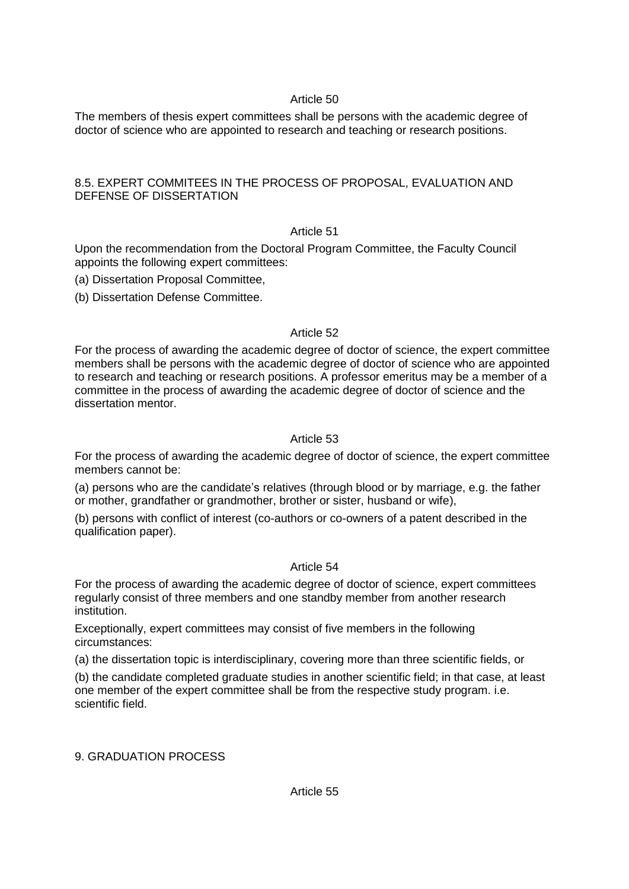The members of thesis expert committees shall be persons with the academic degree of doctor of science who are appointed to research and teaching or research positions.

# 8.5. EXPERT COMMITEES IN THE PROCESS OF PROPOSAL, EVALUATION AND DEFENSE OF DISSERTATION

# Article 51

Upon the recommendation from the Doctoral Program Committee, the Faculty Council appoints the following expert committees:

(a) Dissertation Proposal Committee,

(b) Dissertation Defense Committee.

# Article 52

For the process of awarding the academic degree of doctor of science, the expert committee members shall be persons with the academic degree of doctor of science who are appointed to research and teaching or research positions. A professor emeritus may be a member of a committee in the process of awarding the academic degree of doctor of science and the dissertation mentor.

# Article 53

For the process of awarding the academic degree of doctor of science, the expert committee members cannot be:

(a) persons who are the candidate's relatives (through blood or by marriage, e.g. the father or mother, grandfather or grandmother, brother or sister, husband or wife),

(b) persons with conflict of interest (co-authors or co-owners of a patent described in the qualification paper).

# Article 54

For the process of awarding the academic degree of doctor of science, expert committees regularly consist of three members and one standby member from another research institution.

Exceptionally, expert committees may consist of five members in the following circumstances:

(a) the dissertation topic is interdisciplinary, covering more than three scientific fields, or

(b) the candidate completed graduate studies in another scientific field; in that case, at least one member of the expert committee shall be from the respective study program. i.e. scientific field.

9. GRADUATION PROCESS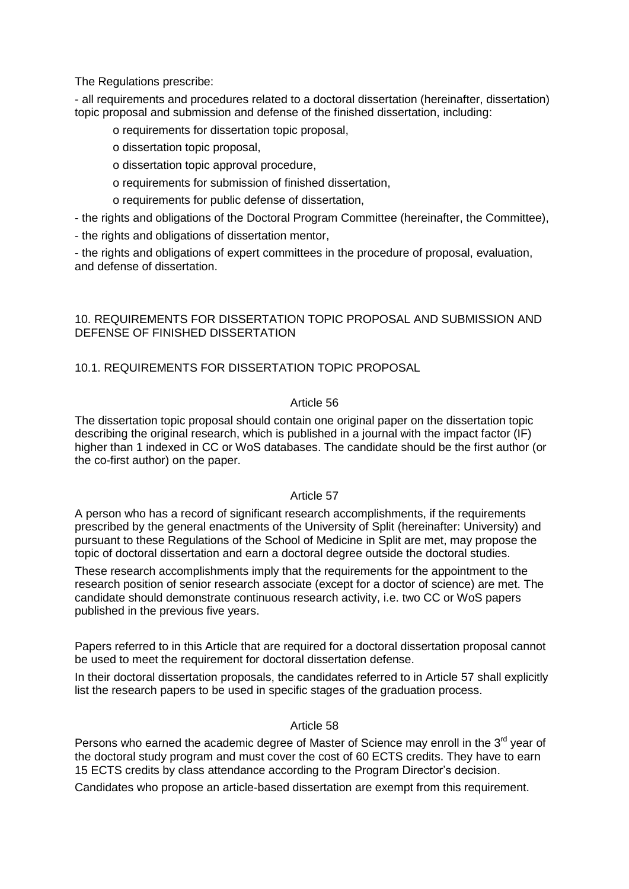The Regulations prescribe:

- all requirements and procedures related to a doctoral dissertation (hereinafter, dissertation) topic proposal and submission and defense of the finished dissertation, including:

- o requirements for dissertation topic proposal,
- o dissertation topic proposal,
- o dissertation topic approval procedure,
- o requirements for submission of finished dissertation,
- o requirements for public defense of dissertation,

- the rights and obligations of the Doctoral Program Committee (hereinafter, the Committee),

- the rights and obligations of dissertation mentor,

- the rights and obligations of expert committees in the procedure of proposal, evaluation, and defense of dissertation.

# 10. REQUIREMENTS FOR DISSERTATION TOPIC PROPOSAL AND SUBMISSION AND DEFENSE OF FINISHED DISSERTATION

# 10.1. REQUIREMENTS FOR DISSERTATION TOPIC PROPOSAL

# Article 56

The dissertation topic proposal should contain one original paper on the dissertation topic describing the original research, which is published in a journal with the impact factor (IF) higher than 1 indexed in CC or WoS databases. The candidate should be the first author (or the co-first author) on the paper.

# Article 57

A person who has a record of significant research accomplishments, if the requirements prescribed by the general enactments of the University of Split (hereinafter: University) and pursuant to these Regulations of the School of Medicine in Split are met, may propose the topic of doctoral dissertation and earn a doctoral degree outside the doctoral studies.

These research accomplishments imply that the requirements for the appointment to the research position of senior research associate (except for a doctor of science) are met. The candidate should demonstrate continuous research activity, i.e. two CC or WoS papers published in the previous five years.

Papers referred to in this Article that are required for a doctoral dissertation proposal cannot be used to meet the requirement for doctoral dissertation defense.

In their doctoral dissertation proposals, the candidates referred to in Article 57 shall explicitly list the research papers to be used in specific stages of the graduation process.

# Article 58

Persons who earned the academic degree of Master of Science may enroll in the 3<sup>rd</sup> year of the doctoral study program and must cover the cost of 60 ECTS credits. They have to earn 15 ECTS credits by class attendance according to the Program Director's decision.

Candidates who propose an article-based dissertation are exempt from this requirement.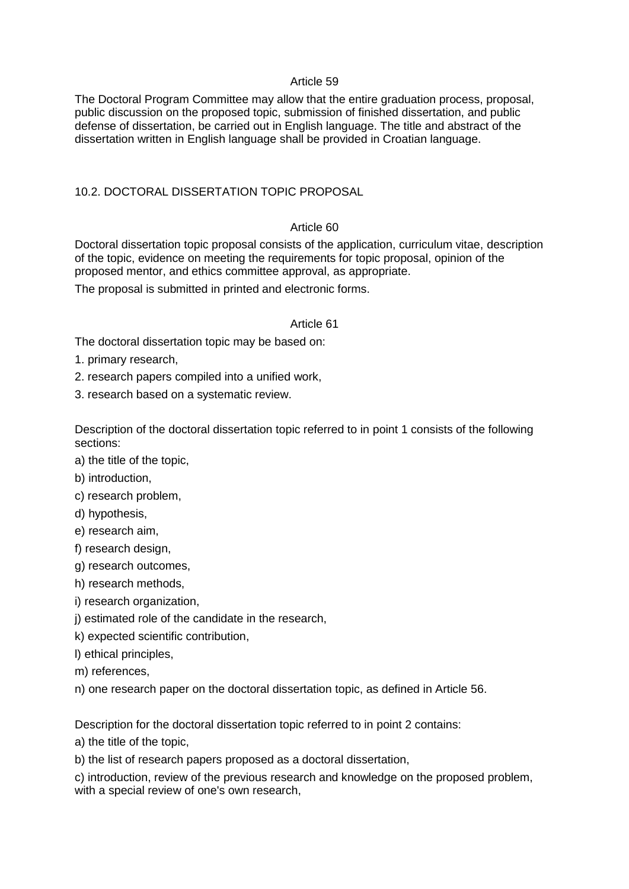The Doctoral Program Committee may allow that the entire graduation process, proposal, public discussion on the proposed topic, submission of finished dissertation, and public defense of dissertation, be carried out in English language. The title and abstract of the dissertation written in English language shall be provided in Croatian language.

# 10.2. DOCTORAL DISSERTATION TOPIC PROPOSAL

# Article 60

Doctoral dissertation topic proposal consists of the application, curriculum vitae, description of the topic, evidence on meeting the requirements for topic proposal, opinion of the proposed mentor, and ethics committee approval, as appropriate.

The proposal is submitted in printed and electronic forms.

# Article 61

The doctoral dissertation topic may be based on:

1. primary research,

2. research papers compiled into a unified work,

3. research based on a systematic review.

Description of the doctoral dissertation topic referred to in point 1 consists of the following sections:

- a) the title of the topic,
- b) introduction,
- c) research problem,
- d) hypothesis,
- e) research aim,
- f) research design,
- g) research outcomes,
- h) research methods,
- i) research organization,
- j) estimated role of the candidate in the research,
- k) expected scientific contribution,
- l) ethical principles,
- m) references,

n) one research paper on the doctoral dissertation topic, as defined in Article 56.

Description for the doctoral dissertation topic referred to in point 2 contains:

a) the title of the topic,

b) the list of research papers proposed as a doctoral dissertation,

c) introduction, review of the previous research and knowledge on the proposed problem, with a special review of one's own research,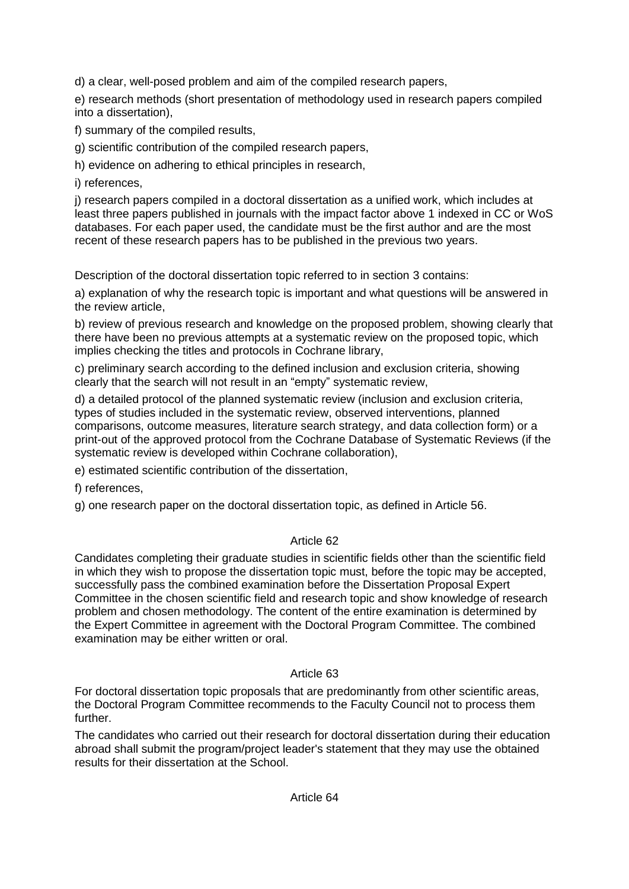d) a clear, well-posed problem and aim of the compiled research papers,

e) research methods (short presentation of methodology used in research papers compiled into a dissertation),

f) summary of the compiled results,

g) scientific contribution of the compiled research papers,

h) evidence on adhering to ethical principles in research,

i) references,

j) research papers compiled in a doctoral dissertation as a unified work, which includes at least three papers published in journals with the impact factor above 1 indexed in CC or WoS databases. For each paper used, the candidate must be the first author and are the most recent of these research papers has to be published in the previous two years.

Description of the doctoral dissertation topic referred to in section 3 contains:

a) explanation of why the research topic is important and what questions will be answered in the review article,

b) review of previous research and knowledge on the proposed problem, showing clearly that there have been no previous attempts at a systematic review on the proposed topic, which implies checking the titles and protocols in Cochrane library,

c) preliminary search according to the defined inclusion and exclusion criteria, showing clearly that the search will not result in an "empty" systematic review,

d) a detailed protocol of the planned systematic review (inclusion and exclusion criteria, types of studies included in the systematic review, observed interventions, planned comparisons, outcome measures, literature search strategy, and data collection form) or a print-out of the approved protocol from the Cochrane Database of Systematic Reviews (if the systematic review is developed within Cochrane collaboration),

e) estimated scientific contribution of the dissertation,

f) references,

g) one research paper on the doctoral dissertation topic, as defined in Article 56.

# Article 62

Candidates completing their graduate studies in scientific fields other than the scientific field in which they wish to propose the dissertation topic must, before the topic may be accepted, successfully pass the combined examination before the Dissertation Proposal Expert Committee in the chosen scientific field and research topic and show knowledge of research problem and chosen methodology. The content of the entire examination is determined by the Expert Committee in agreement with the Doctoral Program Committee. The combined examination may be either written or oral.

# Article 63

For doctoral dissertation topic proposals that are predominantly from other scientific areas, the Doctoral Program Committee recommends to the Faculty Council not to process them further.

The candidates who carried out their research for doctoral dissertation during their education abroad shall submit the program/project leader's statement that they may use the obtained results for their dissertation at the School.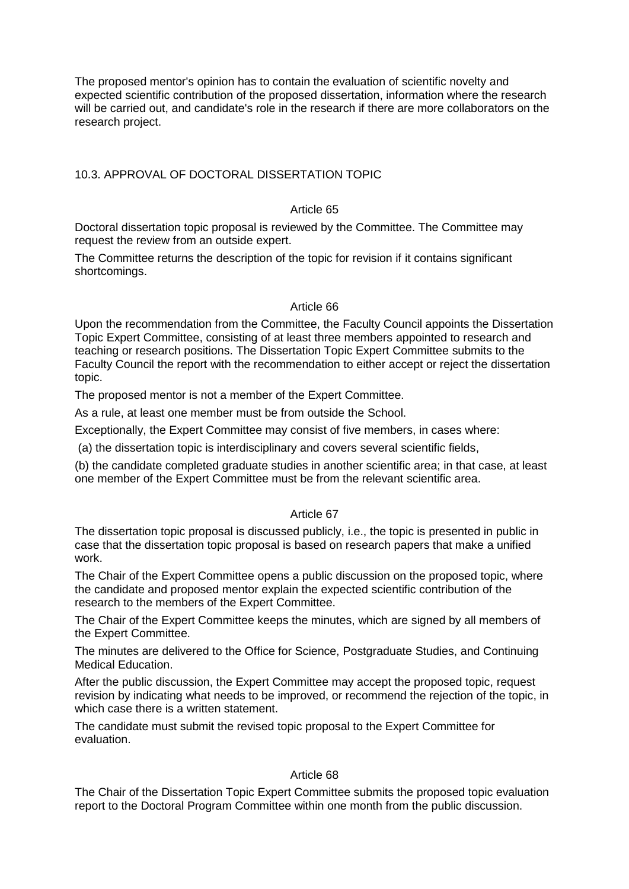The proposed mentor's opinion has to contain the evaluation of scientific novelty and expected scientific contribution of the proposed dissertation, information where the research will be carried out, and candidate's role in the research if there are more collaborators on the research project.

# 10.3. APPROVAL OF DOCTORAL DISSERTATION TOPIC

# Article 65

Doctoral dissertation topic proposal is reviewed by the Committee. The Committee may request the review from an outside expert.

The Committee returns the description of the topic for revision if it contains significant shortcomings.

#### Article 66

Upon the recommendation from the Committee, the Faculty Council appoints the Dissertation Topic Expert Committee, consisting of at least three members appointed to research and teaching or research positions. The Dissertation Topic Expert Committee submits to the Faculty Council the report with the recommendation to either accept or reject the dissertation topic.

The proposed mentor is not a member of the Expert Committee.

As a rule, at least one member must be from outside the School.

Exceptionally, the Expert Committee may consist of five members, in cases where:

(a) the dissertation topic is interdisciplinary and covers several scientific fields,

(b) the candidate completed graduate studies in another scientific area; in that case, at least one member of the Expert Committee must be from the relevant scientific area.

# Article 67

The dissertation topic proposal is discussed publicly, i.e., the topic is presented in public in case that the dissertation topic proposal is based on research papers that make a unified work.

The Chair of the Expert Committee opens a public discussion on the proposed topic, where the candidate and proposed mentor explain the expected scientific contribution of the research to the members of the Expert Committee.

The Chair of the Expert Committee keeps the minutes, which are signed by all members of the Expert Committee.

The minutes are delivered to the Office for Science, Postgraduate Studies, and Continuing Medical Education.

After the public discussion, the Expert Committee may accept the proposed topic, request revision by indicating what needs to be improved, or recommend the rejection of the topic, in which case there is a written statement.

The candidate must submit the revised topic proposal to the Expert Committee for evaluation.

# Article 68

The Chair of the Dissertation Topic Expert Committee submits the proposed topic evaluation report to the Doctoral Program Committee within one month from the public discussion.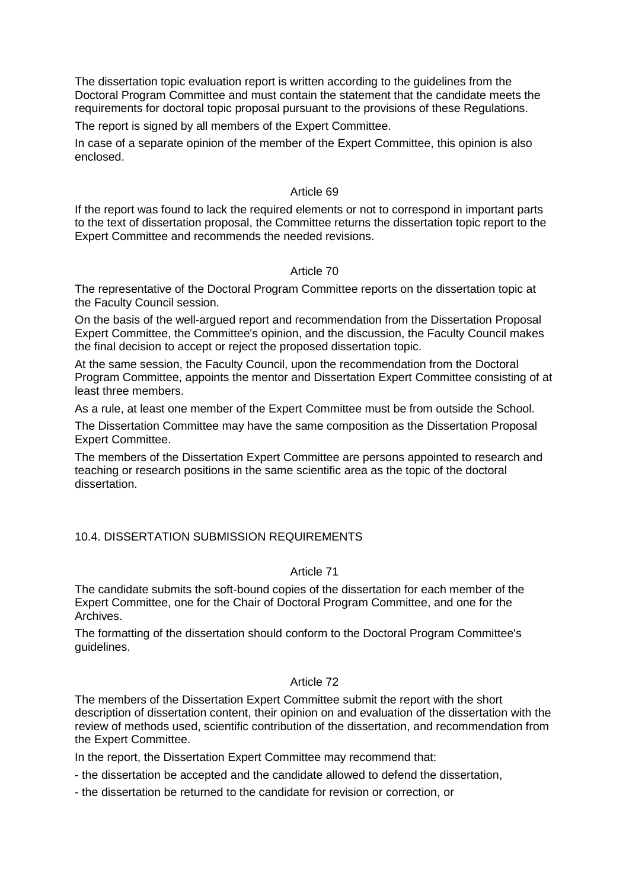The dissertation topic evaluation report is written according to the guidelines from the Doctoral Program Committee and must contain the statement that the candidate meets the requirements for doctoral topic proposal pursuant to the provisions of these Regulations.

The report is signed by all members of the Expert Committee.

In case of a separate opinion of the member of the Expert Committee, this opinion is also enclosed.

### Article 69

If the report was found to lack the required elements or not to correspond in important parts to the text of dissertation proposal, the Committee returns the dissertation topic report to the Expert Committee and recommends the needed revisions.

# Article 70

The representative of the Doctoral Program Committee reports on the dissertation topic at the Faculty Council session.

On the basis of the well-argued report and recommendation from the Dissertation Proposal Expert Committee, the Committee's opinion, and the discussion, the Faculty Council makes the final decision to accept or reject the proposed dissertation topic.

At the same session, the Faculty Council, upon the recommendation from the Doctoral Program Committee, appoints the mentor and Dissertation Expert Committee consisting of at least three members.

As a rule, at least one member of the Expert Committee must be from outside the School.

The Dissertation Committee may have the same composition as the Dissertation Proposal Expert Committee.

The members of the Dissertation Expert Committee are persons appointed to research and teaching or research positions in the same scientific area as the topic of the doctoral dissertation.

# 10.4. DISSERTATION SUBMISSION REQUIREMENTS

# Article 71

The candidate submits the soft-bound copies of the dissertation for each member of the Expert Committee, one for the Chair of Doctoral Program Committee, and one for the Archives.

The formatting of the dissertation should conform to the Doctoral Program Committee's guidelines.

# Article 72

The members of the Dissertation Expert Committee submit the report with the short description of dissertation content, their opinion on and evaluation of the dissertation with the review of methods used, scientific contribution of the dissertation, and recommendation from the Expert Committee.

In the report, the Dissertation Expert Committee may recommend that:

- the dissertation be accepted and the candidate allowed to defend the dissertation,
- the dissertation be returned to the candidate for revision or correction, or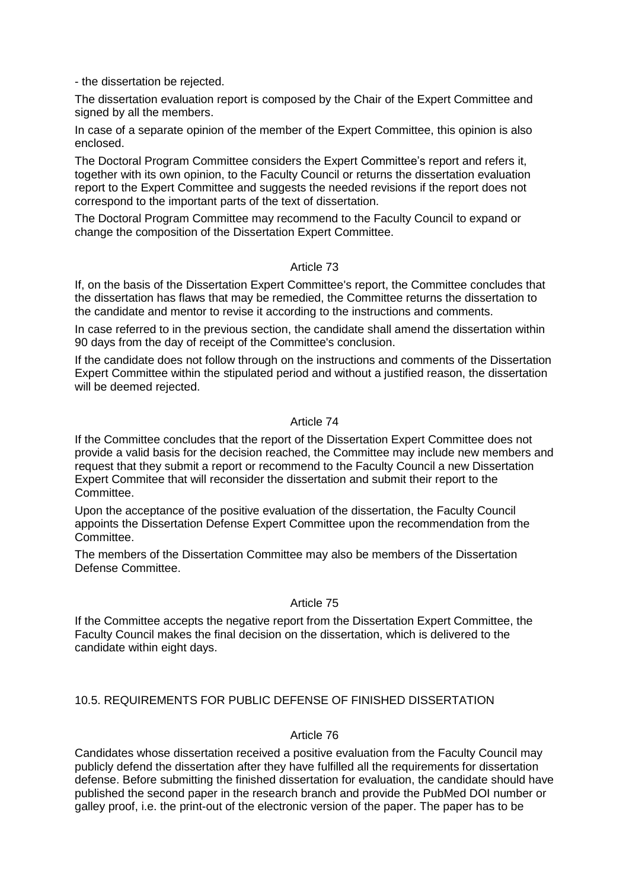- the dissertation be rejected.

The dissertation evaluation report is composed by the Chair of the Expert Committee and signed by all the members.

In case of a separate opinion of the member of the Expert Committee, this opinion is also enclosed.

The Doctoral Program Committee considers the Expert Committee's report and refers it, together with its own opinion, to the Faculty Council or returns the dissertation evaluation report to the Expert Committee and suggests the needed revisions if the report does not correspond to the important parts of the text of dissertation.

The Doctoral Program Committee may recommend to the Faculty Council to expand or change the composition of the Dissertation Expert Committee.

#### Article 73

If, on the basis of the Dissertation Expert Committee's report, the Committee concludes that the dissertation has flaws that may be remedied, the Committee returns the dissertation to the candidate and mentor to revise it according to the instructions and comments.

In case referred to in the previous section, the candidate shall amend the dissertation within 90 days from the day of receipt of the Committee's conclusion.

If the candidate does not follow through on the instructions and comments of the Dissertation Expert Committee within the stipulated period and without a justified reason, the dissertation will be deemed rejected.

# Article 74

If the Committee concludes that the report of the Dissertation Expert Committee does not provide a valid basis for the decision reached, the Committee may include new members and request that they submit a report or recommend to the Faculty Council a new Dissertation Expert Commitee that will reconsider the dissertation and submit their report to the Committee.

Upon the acceptance of the positive evaluation of the dissertation, the Faculty Council appoints the Dissertation Defense Expert Committee upon the recommendation from the Committee.

The members of the Dissertation Committee may also be members of the Dissertation Defense Committee.

#### Article 75

If the Committee accepts the negative report from the Dissertation Expert Committee, the Faculty Council makes the final decision on the dissertation, which is delivered to the candidate within eight days.

# 10.5. REQUIREMENTS FOR PUBLIC DEFENSE OF FINISHED DISSERTATION

# Article 76

Candidates whose dissertation received a positive evaluation from the Faculty Council may publicly defend the dissertation after they have fulfilled all the requirements for dissertation defense. Before submitting the finished dissertation for evaluation, the candidate should have published the second paper in the research branch and provide the PubMed DOI number or galley proof, i.e. the print-out of the electronic version of the paper. The paper has to be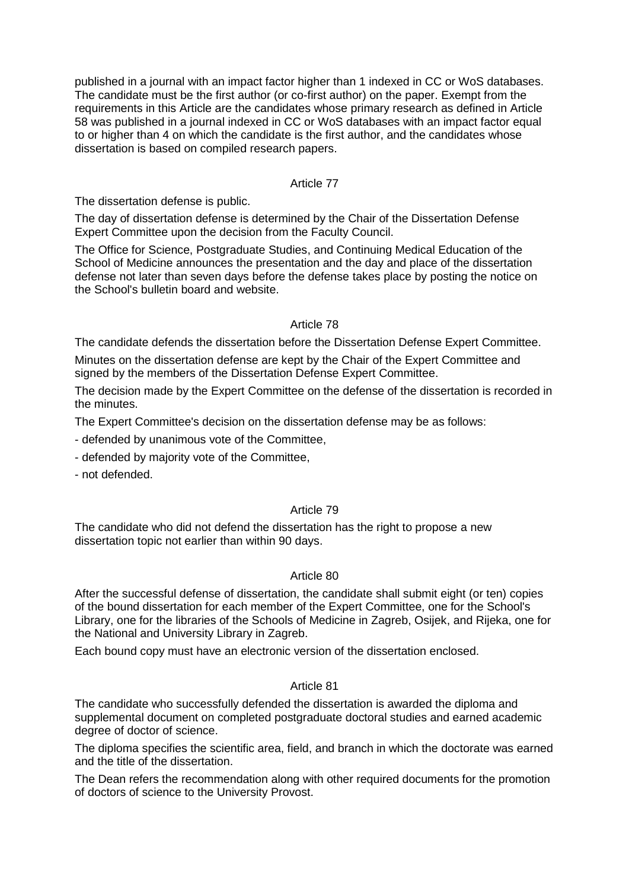published in a journal with an impact factor higher than 1 indexed in CC or WoS databases. The candidate must be the first author (or co-first author) on the paper. Exempt from the requirements in this Article are the candidates whose primary research as defined in Article 58 was published in a journal indexed in CC or WoS databases with an impact factor equal to or higher than 4 on which the candidate is the first author, and the candidates whose dissertation is based on compiled research papers.

# Article 77

The dissertation defense is public.

The day of dissertation defense is determined by the Chair of the Dissertation Defense Expert Committee upon the decision from the Faculty Council.

The Office for Science, Postgraduate Studies, and Continuing Medical Education of the School of Medicine announces the presentation and the day and place of the dissertation defense not later than seven days before the defense takes place by posting the notice on the School's bulletin board and website.

# Article 78

The candidate defends the dissertation before the Dissertation Defense Expert Committee.

Minutes on the dissertation defense are kept by the Chair of the Expert Committee and signed by the members of the Dissertation Defense Expert Committee.

The decision made by the Expert Committee on the defense of the dissertation is recorded in the minutes.

The Expert Committee's decision on the dissertation defense may be as follows:

- defended by unanimous vote of the Committee,

- defended by majority vote of the Committee,

- not defended.

# Article 79

The candidate who did not defend the dissertation has the right to propose a new dissertation topic not earlier than within 90 days.

#### Article 80

After the successful defense of dissertation, the candidate shall submit eight (or ten) copies of the bound dissertation for each member of the Expert Committee, one for the School's Library, one for the libraries of the Schools of Medicine in Zagreb, Osijek, and Rijeka, one for the National and University Library in Zagreb.

Each bound copy must have an electronic version of the dissertation enclosed.

#### Article 81

The candidate who successfully defended the dissertation is awarded the diploma and supplemental document on completed postgraduate doctoral studies and earned academic degree of doctor of science.

The diploma specifies the scientific area, field, and branch in which the doctorate was earned and the title of the dissertation.

The Dean refers the recommendation along with other required documents for the promotion of doctors of science to the University Provost.